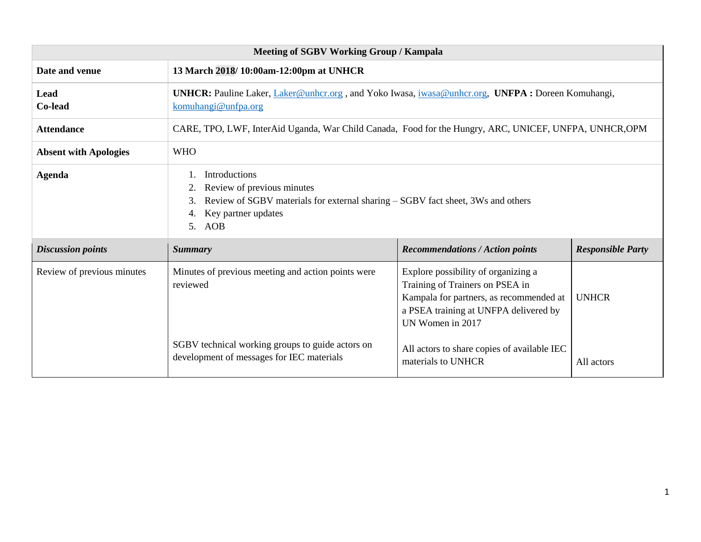| <b>Meeting of SGBV Working Group / Kampala</b> |                                                                                                                                                                                      |                                                                                                                                                                                |                          |  |
|------------------------------------------------|--------------------------------------------------------------------------------------------------------------------------------------------------------------------------------------|--------------------------------------------------------------------------------------------------------------------------------------------------------------------------------|--------------------------|--|
| Date and venue                                 | 13 March 2018/10:00am-12:00pm at UNHCR                                                                                                                                               |                                                                                                                                                                                |                          |  |
| Lead<br>Co-lead                                | <b>UNHCR:</b> Pauline Laker, Laker@unhcr.org, and Yoko Iwasa, iwasa@unhcr.org, UNFPA: Doreen Komuhangi,<br>komuhangi@unfpa.org                                                       |                                                                                                                                                                                |                          |  |
| <b>Attendance</b>                              | CARE, TPO, LWF, InterAid Uganda, War Child Canada, Food for the Hungry, ARC, UNICEF, UNFPA, UNHCR, OPM                                                                               |                                                                                                                                                                                |                          |  |
| <b>Absent with Apologies</b>                   | <b>WHO</b>                                                                                                                                                                           |                                                                                                                                                                                |                          |  |
| <b>Agenda</b>                                  | Introductions<br>Review of previous minutes<br>Review of SGBV materials for external sharing – SGBV fact sheet, 3Ws and others<br>3.<br>Key partner updates<br>AOB<br>5 <sub>1</sub> |                                                                                                                                                                                |                          |  |
| <b>Discussion points</b>                       | <b>Summary</b>                                                                                                                                                                       | <b>Recommendations / Action points</b>                                                                                                                                         | <b>Responsible Party</b> |  |
| Review of previous minutes                     | Minutes of previous meeting and action points were<br>reviewed                                                                                                                       | Explore possibility of organizing a<br>Training of Trainers on PSEA in<br>Kampala for partners, as recommended at<br>a PSEA training at UNFPA delivered by<br>UN Women in 2017 | <b>UNHCR</b>             |  |
|                                                | SGBV technical working groups to guide actors on<br>development of messages for IEC materials                                                                                        | All actors to share copies of available IEC<br>materials to UNHCR                                                                                                              | All actors               |  |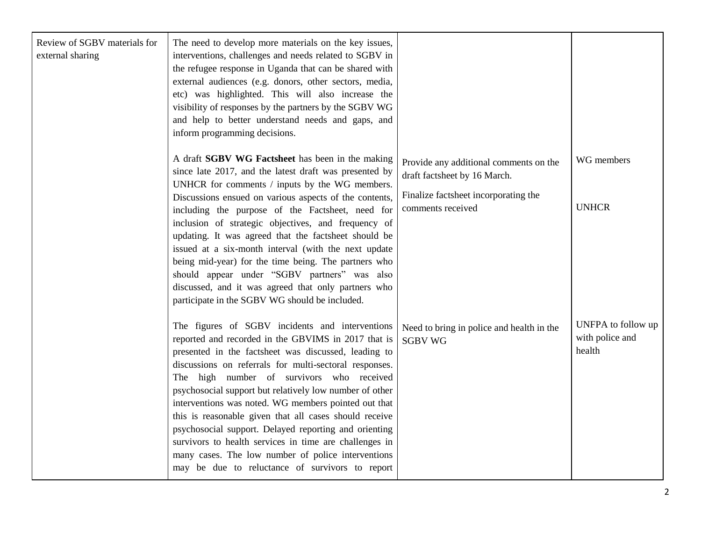| Review of SGBV materials for<br>external sharing | The need to develop more materials on the key issues,<br>interventions, challenges and needs related to SGBV in<br>the refugee response in Uganda that can be shared with<br>external audiences (e.g. donors, other sectors, media,<br>etc) was highlighted. This will also increase the<br>visibility of responses by the partners by the SGBV WG<br>and help to better understand needs and gaps, and<br>inform programming decisions.                                                                                                                                                                                                                                       |                                                                                                                                     |                                                 |
|--------------------------------------------------|--------------------------------------------------------------------------------------------------------------------------------------------------------------------------------------------------------------------------------------------------------------------------------------------------------------------------------------------------------------------------------------------------------------------------------------------------------------------------------------------------------------------------------------------------------------------------------------------------------------------------------------------------------------------------------|-------------------------------------------------------------------------------------------------------------------------------------|-------------------------------------------------|
|                                                  | A draft SGBV WG Factsheet has been in the making<br>since late 2017, and the latest draft was presented by<br>UNHCR for comments / inputs by the WG members.<br>Discussions ensued on various aspects of the contents,<br>including the purpose of the Factsheet, need for<br>inclusion of strategic objectives, and frequency of<br>updating. It was agreed that the factsheet should be<br>issued at a six-month interval (with the next update<br>being mid-year) for the time being. The partners who<br>should appear under "SGBV partners" was also<br>discussed, and it was agreed that only partners who<br>participate in the SGBV WG should be included.             | Provide any additional comments on the<br>draft factsheet by 16 March.<br>Finalize factsheet incorporating the<br>comments received | WG members<br><b>UNHCR</b>                      |
|                                                  | The figures of SGBV incidents and interventions<br>reported and recorded in the GBVIMS in 2017 that is<br>presented in the factsheet was discussed, leading to<br>discussions on referrals for multi-sectoral responses.<br>The high number of survivors who received<br>psychosocial support but relatively low number of other<br>interventions was noted. WG members pointed out that<br>this is reasonable given that all cases should receive<br>psychosocial support. Delayed reporting and orienting<br>survivors to health services in time are challenges in<br>many cases. The low number of police interventions<br>may be due to reluctance of survivors to report | Need to bring in police and health in the<br><b>SGBV WG</b>                                                                         | UNFPA to follow up<br>with police and<br>health |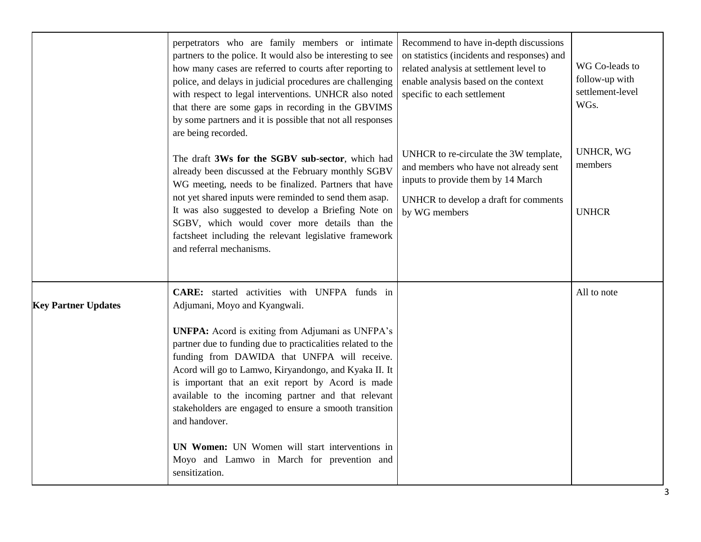|                            | perpetrators who are family members or intimate<br>partners to the police. It would also be interesting to see<br>how many cases are referred to courts after reporting to<br>police, and delays in judicial procedures are challenging<br>with respect to legal interventions. UNHCR also noted<br>that there are some gaps in recording in the GBVIMS<br>by some partners and it is possible that not all responses<br>are being recorded.                                                                                                                                                                              | Recommend to have in-depth discussions<br>on statistics (incidents and responses) and<br>related analysis at settlement level to<br>enable analysis based on the context<br>specific to each settlement | WG Co-leads to<br>follow-up with<br>settlement-level<br>WGs. |
|----------------------------|---------------------------------------------------------------------------------------------------------------------------------------------------------------------------------------------------------------------------------------------------------------------------------------------------------------------------------------------------------------------------------------------------------------------------------------------------------------------------------------------------------------------------------------------------------------------------------------------------------------------------|---------------------------------------------------------------------------------------------------------------------------------------------------------------------------------------------------------|--------------------------------------------------------------|
|                            | The draft 3Ws for the SGBV sub-sector, which had<br>already been discussed at the February monthly SGBV<br>WG meeting, needs to be finalized. Partners that have<br>not yet shared inputs were reminded to send them asap.<br>It was also suggested to develop a Briefing Note on<br>SGBV, which would cover more details than the<br>factsheet including the relevant legislative framework<br>and referral mechanisms.                                                                                                                                                                                                  | UNHCR to re-circulate the 3W template,<br>and members who have not already sent<br>inputs to provide them by 14 March<br>UNHCR to develop a draft for comments<br>by WG members                         | <b>UNHCR, WG</b><br>members<br><b>UNHCR</b>                  |
| <b>Key Partner Updates</b> | CARE: started activities with UNFPA funds in<br>Adjumani, Moyo and Kyangwali.<br><b>UNFPA:</b> Acord is exiting from Adjumani as UNFPA's<br>partner due to funding due to practicalities related to the<br>funding from DAWIDA that UNFPA will receive.<br>Acord will go to Lamwo, Kiryandongo, and Kyaka II. It<br>is important that an exit report by Acord is made<br>available to the incoming partner and that relevant<br>stakeholders are engaged to ensure a smooth transition<br>and handover.<br>UN Women: UN Women will start interventions in<br>Moyo and Lamwo in March for prevention and<br>sensitization. |                                                                                                                                                                                                         | All to note                                                  |